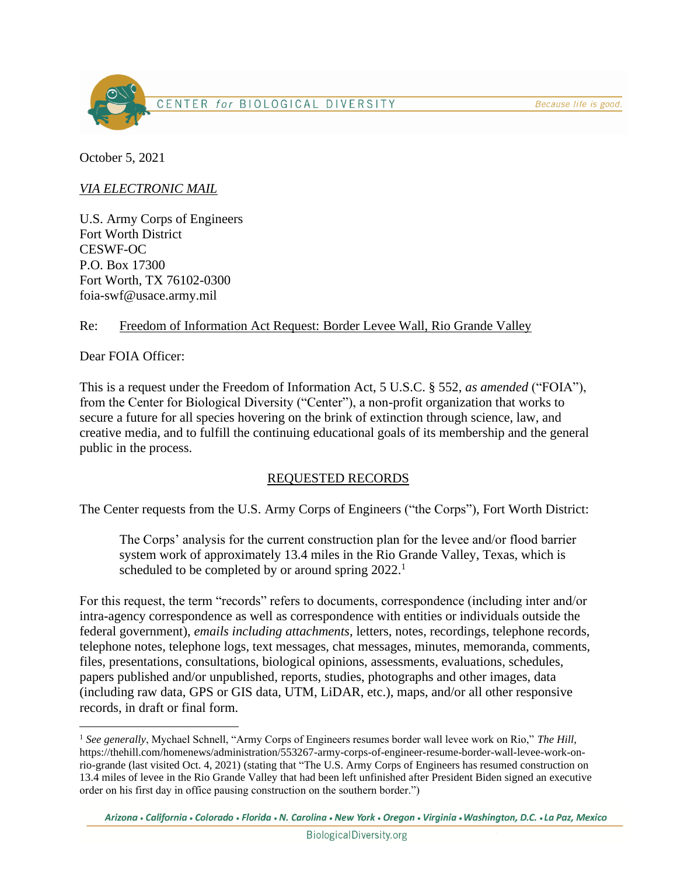

October 5, 2021

*VIA ELECTRONIC MAIL*

U.S. Army Corps of Engineers Fort Worth District CESWF-OC P.O. Box 17300 Fort Worth, TX 76102-0300 foia-swf@usace.army.mil

## Re: Freedom of Information Act Request: Border Levee Wall, Rio Grande Valley

Dear FOIA Officer:

This is a request under the Freedom of Information Act, 5 U.S.C. § 552, *as amended* ("FOIA"), from the Center for Biological Diversity ("Center"), a non-profit organization that works to secure a future for all species hovering on the brink of extinction through science, law, and creative media, and to fulfill the continuing educational goals of its membership and the general public in the process.

# REQUESTED RECORDS

The Center requests from the U.S. Army Corps of Engineers ("the Corps"), Fort Worth District:

The Corps' analysis for the current construction plan for the levee and/or flood barrier system work of approximately 13.4 miles in the Rio Grande Valley, Texas, which is scheduled to be completed by or around spring  $2022$ <sup>1</sup>

For this request, the term "records" refers to documents, correspondence (including inter and/or intra-agency correspondence as well as correspondence with entities or individuals outside the federal government), *emails including attachments*, letters, notes, recordings, telephone records, telephone notes, telephone logs, text messages, chat messages, minutes, memoranda, comments, files, presentations, consultations, biological opinions, assessments, evaluations, schedules, papers published and/or unpublished, reports, studies, photographs and other images, data (including raw data, GPS or GIS data, UTM, LiDAR, etc.), maps, and/or all other responsive records, in draft or final form.

<sup>1</sup> *See generally*, Mychael Schnell, "Army Corps of Engineers resumes border wall levee work on Rio," *The Hill*, https://thehill.com/homenews/administration/553267-army-corps-of-engineer-resume-border-wall-levee-work-onrio-grande (last visited Oct. 4, 2021) (stating that "The U.S. Army Corps of Engineers has resumed construction on 13.4 miles of levee in the Rio Grande Valley that had been left unfinished after President Biden signed an executive order on his first day in office pausing construction on the southern border.")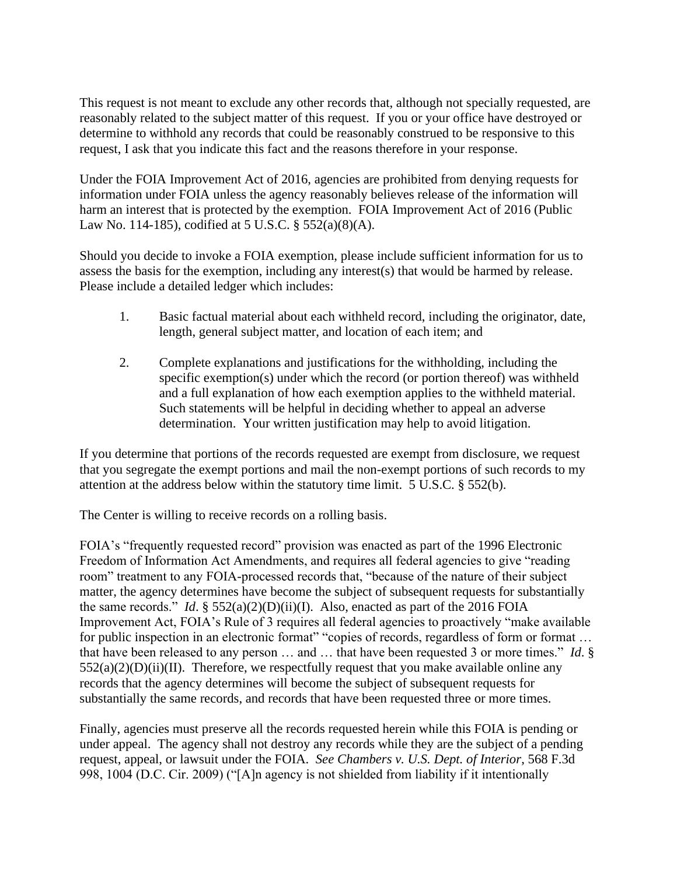This request is not meant to exclude any other records that, although not specially requested, are reasonably related to the subject matter of this request. If you or your office have destroyed or determine to withhold any records that could be reasonably construed to be responsive to this request, I ask that you indicate this fact and the reasons therefore in your response.

Under the FOIA Improvement Act of 2016, agencies are prohibited from denying requests for information under FOIA unless the agency reasonably believes release of the information will harm an interest that is protected by the exemption. FOIA Improvement Act of 2016 (Public Law No. 114-185), codified at 5 U.S.C. § 552(a)(8)(A).

Should you decide to invoke a FOIA exemption, please include sufficient information for us to assess the basis for the exemption, including any interest(s) that would be harmed by release. Please include a detailed ledger which includes:

- 1. Basic factual material about each withheld record, including the originator, date, length, general subject matter, and location of each item; and
- 2. Complete explanations and justifications for the withholding, including the specific exemption(s) under which the record (or portion thereof) was withheld and a full explanation of how each exemption applies to the withheld material. Such statements will be helpful in deciding whether to appeal an adverse determination. Your written justification may help to avoid litigation.

If you determine that portions of the records requested are exempt from disclosure, we request that you segregate the exempt portions and mail the non-exempt portions of such records to my attention at the address below within the statutory time limit. 5 U.S.C. § 552(b).

The Center is willing to receive records on a rolling basis.

FOIA's "frequently requested record" provision was enacted as part of the 1996 Electronic Freedom of Information Act Amendments, and requires all federal agencies to give "reading room" treatment to any FOIA-processed records that, "because of the nature of their subject matter, the agency determines have become the subject of subsequent requests for substantially the same records." *Id*. § 552(a)(2)(D)(ii)(I). Also, enacted as part of the 2016 FOIA Improvement Act, FOIA's Rule of 3 requires all federal agencies to proactively "make available for public inspection in an electronic format" "copies of records, regardless of form or format ... that have been released to any person … and … that have been requested 3 or more times." *Id*. §  $552(a)(2)(D)(ii)(II)$ . Therefore, we respectfully request that you make available online any records that the agency determines will become the subject of subsequent requests for substantially the same records, and records that have been requested three or more times.

Finally, agencies must preserve all the records requested herein while this FOIA is pending or under appeal. The agency shall not destroy any records while they are the subject of a pending request, appeal, or lawsuit under the FOIA. *See Chambers v. U.S. Dept. of Interior*, 568 F.3d 998, 1004 (D.C. Cir. 2009) ("[A]n agency is not shielded from liability if it intentionally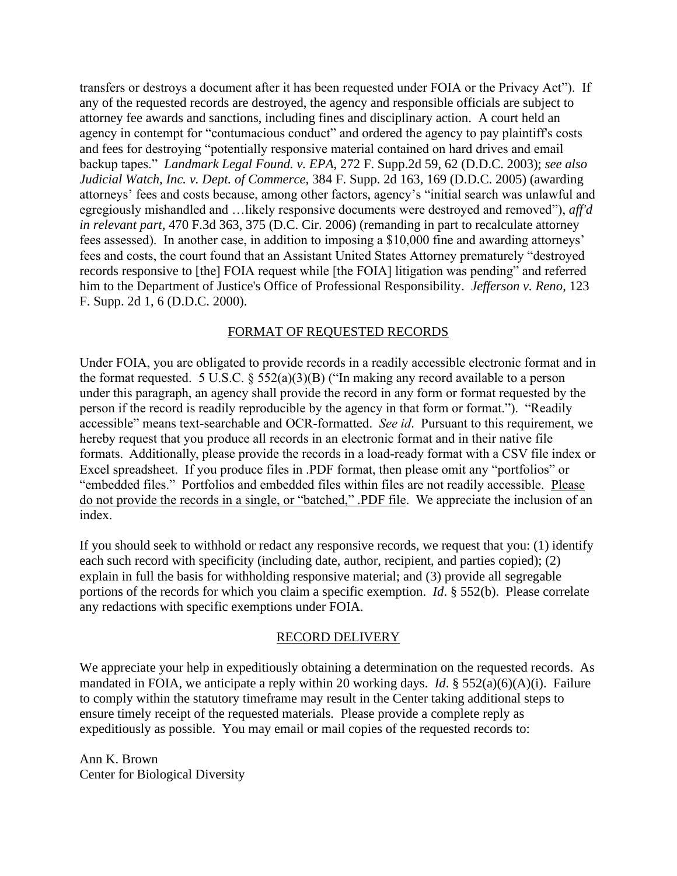transfers or destroys a document after it has been requested under FOIA or the Privacy Act"). If any of the requested records are destroyed, the agency and responsible officials are subject to attorney fee awards and sanctions, including fines and disciplinary action. A court held an agency in contempt for "contumacious conduct" and ordered the agency to pay plaintiff's costs and fees for destroying "potentially responsive material contained on hard drives and email backup tapes." *Landmark Legal Found. v. EPA*, 272 F. Supp.2d 59, 62 (D.D.C. 2003); *see also Judicial Watch, Inc. v. Dept. of Commerce*, 384 F. Supp. 2d 163, 169 (D.D.C. 2005) (awarding attorneys' fees and costs because, among other factors, agency's "initial search was unlawful and egregiously mishandled and …likely responsive documents were destroyed and removed"), *aff'd in relevant part*, 470 F.3d 363, 375 (D.C. Cir. 2006) (remanding in part to recalculate attorney fees assessed). In another case, in addition to imposing a \$10,000 fine and awarding attorneys' fees and costs, the court found that an Assistant United States Attorney prematurely "destroyed records responsive to [the] FOIA request while [the FOIA] litigation was pending" and referred him to the Department of Justice's Office of Professional Responsibility. *Jefferson v. Reno*, 123 F. Supp. 2d 1, 6 (D.D.C. 2000).

## FORMAT OF REQUESTED RECORDS

Under FOIA, you are obligated to provide records in a readily accessible electronic format and in the format requested. 5 U.S.C.  $\S$  552(a)(3)(B) ("In making any record available to a person under this paragraph, an agency shall provide the record in any form or format requested by the person if the record is readily reproducible by the agency in that form or format."). "Readily accessible" means text-searchable and OCR-formatted. *See id*. Pursuant to this requirement, we hereby request that you produce all records in an electronic format and in their native file formats. Additionally, please provide the records in a load-ready format with a CSV file index or Excel spreadsheet. If you produce files in .PDF format, then please omit any "portfolios" or "embedded files." Portfolios and embedded files within files are not readily accessible. Please do not provide the records in a single, or "batched," .PDF file. We appreciate the inclusion of an index.

If you should seek to withhold or redact any responsive records, we request that you: (1) identify each such record with specificity (including date, author, recipient, and parties copied); (2) explain in full the basis for withholding responsive material; and (3) provide all segregable portions of the records for which you claim a specific exemption. *Id*. § 552(b). Please correlate any redactions with specific exemptions under FOIA.

#### RECORD DELIVERY

We appreciate your help in expeditiously obtaining a determination on the requested records. As mandated in FOIA, we anticipate a reply within 20 working days. *Id*. § 552(a)(6)(A)(i). Failure to comply within the statutory timeframe may result in the Center taking additional steps to ensure timely receipt of the requested materials. Please provide a complete reply as expeditiously as possible. You may email or mail copies of the requested records to:

Ann K. Brown Center for Biological Diversity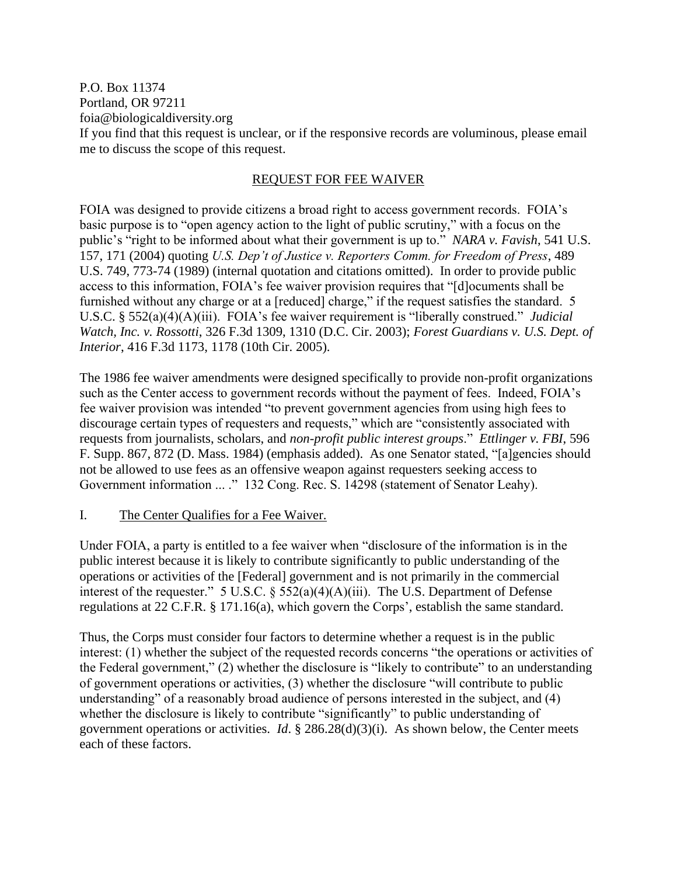P.O. Box 11374 Portland, OR 97211 foia@biologicaldiversity.org If you find that this request is unclear, or if the responsive records are voluminous, please email me to discuss the scope of this request.

## REQUEST FOR FEE WAIVER

FOIA was designed to provide citizens a broad right to access government records. FOIA's basic purpose is to "open agency action to the light of public scrutiny," with a focus on the public's "right to be informed about what their government is up to." *NARA v. Favish*, 541 U.S. 157, 171 (2004) quoting *U.S. Dep't of Justice v. Reporters Comm. for Freedom of Press*, 489 U.S. 749, 773-74 (1989) (internal quotation and citations omitted). In order to provide public access to this information, FOIA's fee waiver provision requires that "[d]ocuments shall be furnished without any charge or at a [reduced] charge," if the request satisfies the standard. 5 U.S.C. § 552(a)(4)(A)(iii). FOIA's fee waiver requirement is "liberally construed." *Judicial Watch, Inc. v. Rossotti*, 326 F.3d 1309, 1310 (D.C. Cir. 2003); *Forest Guardians v. U.S. Dept. of Interior*, 416 F.3d 1173, 1178 (10th Cir. 2005).

The 1986 fee waiver amendments were designed specifically to provide non-profit organizations such as the Center access to government records without the payment of fees. Indeed, FOIA's fee waiver provision was intended "to prevent government agencies from using high fees to discourage certain types of requesters and requests," which are "consistently associated with requests from journalists, scholars, and *non-profit public interest groups*." *Ettlinger v. FBI*, 596 F. Supp. 867, 872 (D. Mass. 1984) (emphasis added). As one Senator stated, "[a]gencies should not be allowed to use fees as an offensive weapon against requesters seeking access to Government information ... ." 132 Cong. Rec. S. 14298 (statement of Senator Leahy).

#### I. The Center Qualifies for a Fee Waiver.

Under FOIA, a party is entitled to a fee waiver when "disclosure of the information is in the public interest because it is likely to contribute significantly to public understanding of the operations or activities of the [Federal] government and is not primarily in the commercial interest of the requester." 5 U.S.C. § 552(a)(4)(A)(iii). The U.S. Department of Defense regulations at 22 C.F.R. § 171.16(a), which govern the Corps', establish the same standard.

Thus, the Corps must consider four factors to determine whether a request is in the public interest: (1) whether the subject of the requested records concerns "the operations or activities of the Federal government," (2) whether the disclosure is "likely to contribute" to an understanding of government operations or activities, (3) whether the disclosure "will contribute to public understanding" of a reasonably broad audience of persons interested in the subject, and (4) whether the disclosure is likely to contribute "significantly" to public understanding of government operations or activities. *Id*. § 286.28(d)(3)(i). As shown below, the Center meets each of these factors.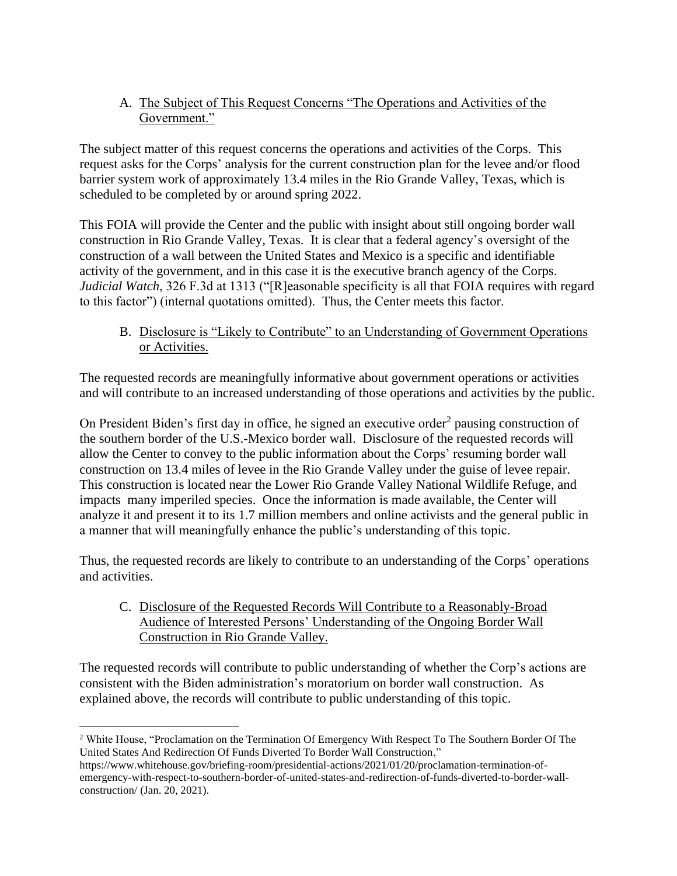A. The Subject of This Request Concerns "The Operations and Activities of the Government."

The subject matter of this request concerns the operations and activities of the Corps. This request asks for the Corps' analysis for the current construction plan for the levee and/or flood barrier system work of approximately 13.4 miles in the Rio Grande Valley, Texas, which is scheduled to be completed by or around spring 2022.

This FOIA will provide the Center and the public with insight about still ongoing border wall construction in Rio Grande Valley, Texas. It is clear that a federal agency's oversight of the construction of a wall between the United States and Mexico is a specific and identifiable activity of the government, and in this case it is the executive branch agency of the Corps. *Judicial Watch*, 326 F.3d at 1313 ("[R]easonable specificity is all that FOIA requires with regard to this factor") (internal quotations omitted). Thus, the Center meets this factor.

B. Disclosure is "Likely to Contribute" to an Understanding of Government Operations or Activities.

The requested records are meaningfully informative about government operations or activities and will contribute to an increased understanding of those operations and activities by the public.

On President Biden's first day in office, he signed an executive order<sup>2</sup> pausing construction of the southern border of the U.S.-Mexico border wall. Disclosure of the requested records will allow the Center to convey to the public information about the Corps' resuming border wall construction on 13.4 miles of levee in the Rio Grande Valley under the guise of levee repair. This construction is located near the Lower Rio Grande Valley National Wildlife Refuge, and impacts many imperiled species. Once the information is made available, the Center will analyze it and present it to its 1.7 million members and online activists and the general public in a manner that will meaningfully enhance the public's understanding of this topic.

Thus, the requested records are likely to contribute to an understanding of the Corps' operations and activities.

C. Disclosure of the Requested Records Will Contribute to a Reasonably-Broad Audience of Interested Persons' Understanding of the Ongoing Border Wall Construction in Rio Grande Valley.

The requested records will contribute to public understanding of whether the Corp's actions are consistent with the Biden administration's moratorium on border wall construction. As explained above, the records will contribute to public understanding of this topic.

<sup>2</sup> White House, "Proclamation on the Termination Of Emergency With Respect To The Southern Border Of The United States And Redirection Of Funds Diverted To Border Wall Construction,"

https://www.whitehouse.gov/briefing-room/presidential-actions/2021/01/20/proclamation-termination-ofemergency-with-respect-to-southern-border-of-united-states-and-redirection-of-funds-diverted-to-border-wallconstruction/ (Jan. 20, 2021).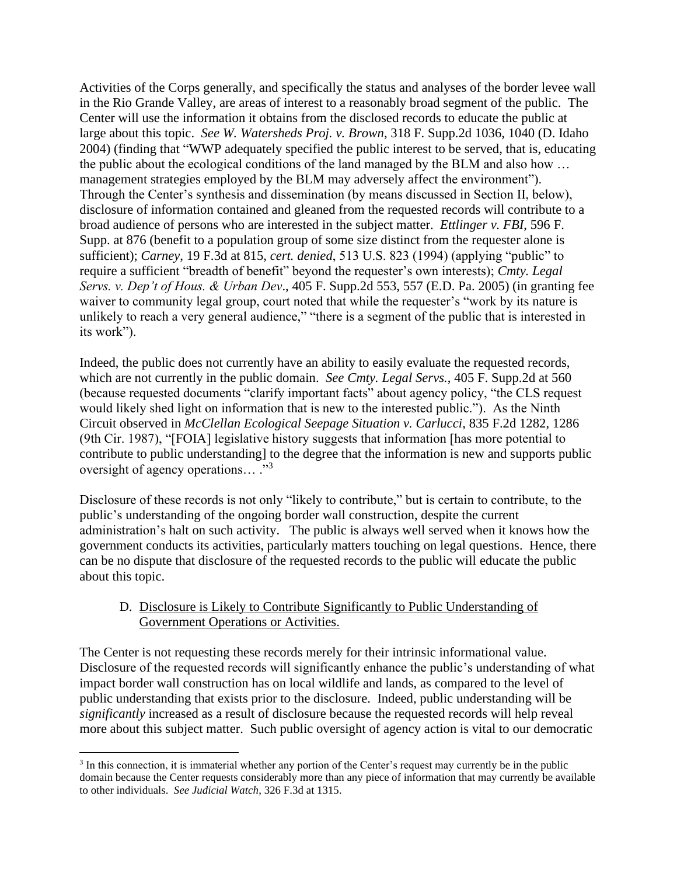Activities of the Corps generally, and specifically the status and analyses of the border levee wall in the Rio Grande Valley, are areas of interest to a reasonably broad segment of the public. The Center will use the information it obtains from the disclosed records to educate the public at large about this topic. *See W. Watersheds Proj. v. Brown*, 318 F. Supp.2d 1036, 1040 (D. Idaho 2004) (finding that "WWP adequately specified the public interest to be served, that is, educating the public about the ecological conditions of the land managed by the BLM and also how … management strategies employed by the BLM may adversely affect the environment"). Through the Center's synthesis and dissemination (by means discussed in Section II, below), disclosure of information contained and gleaned from the requested records will contribute to a broad audience of persons who are interested in the subject matter. *Ettlinger v. FBI*, 596 F. Supp. at 876 (benefit to a population group of some size distinct from the requester alone is sufficient); *Carney*, 19 F.3d at 815, *cert. denied*, 513 U.S. 823 (1994) (applying "public" to require a sufficient "breadth of benefit" beyond the requester's own interests); *Cmty. Legal Servs. v. Dep't of Hous. & Urban Dev*., 405 F. Supp.2d 553, 557 (E.D. Pa. 2005) (in granting fee waiver to community legal group, court noted that while the requester's "work by its nature is unlikely to reach a very general audience," "there is a segment of the public that is interested in its work").

Indeed, the public does not currently have an ability to easily evaluate the requested records, which are not currently in the public domain. *See Cmty. Legal Servs.*, 405 F. Supp.2d at 560 (because requested documents "clarify important facts" about agency policy, "the CLS request would likely shed light on information that is new to the interested public."). As the Ninth Circuit observed in *McClellan Ecological Seepage Situation v. Carlucci*, 835 F.2d 1282, 1286 (9th Cir. 1987), "[FOIA] legislative history suggests that information [has more potential to contribute to public understanding] to the degree that the information is new and supports public oversight of agency operations... ."<sup>3</sup>

Disclosure of these records is not only "likely to contribute," but is certain to contribute, to the public's understanding of the ongoing border wall construction, despite the current administration's halt on such activity. The public is always well served when it knows how the government conducts its activities, particularly matters touching on legal questions. Hence, there can be no dispute that disclosure of the requested records to the public will educate the public about this topic.

## D. Disclosure is Likely to Contribute Significantly to Public Understanding of Government Operations or Activities.

The Center is not requesting these records merely for their intrinsic informational value. Disclosure of the requested records will significantly enhance the public's understanding of what impact border wall construction has on local wildlife and lands, as compared to the level of public understanding that exists prior to the disclosure. Indeed, public understanding will be *significantly* increased as a result of disclosure because the requested records will help reveal more about this subject matter. Such public oversight of agency action is vital to our democratic

<sup>&</sup>lt;sup>3</sup> In this connection, it is immaterial whether any portion of the Center's request may currently be in the public domain because the Center requests considerably more than any piece of information that may currently be available to other individuals. *See Judicial Watch*, 326 F.3d at 1315.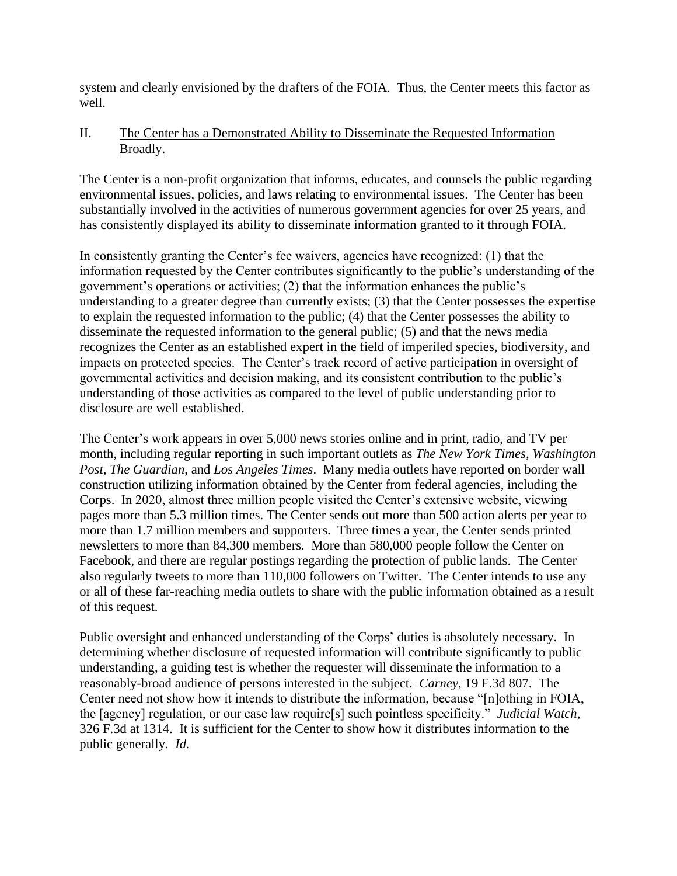system and clearly envisioned by the drafters of the FOIA. Thus, the Center meets this factor as well.

# II. The Center has a Demonstrated Ability to Disseminate the Requested Information Broadly.

The Center is a non-profit organization that informs, educates, and counsels the public regarding environmental issues, policies, and laws relating to environmental issues. The Center has been substantially involved in the activities of numerous government agencies for over 25 years, and has consistently displayed its ability to disseminate information granted to it through FOIA.

In consistently granting the Center's fee waivers, agencies have recognized: (1) that the information requested by the Center contributes significantly to the public's understanding of the government's operations or activities; (2) that the information enhances the public's understanding to a greater degree than currently exists; (3) that the Center possesses the expertise to explain the requested information to the public; (4) that the Center possesses the ability to disseminate the requested information to the general public; (5) and that the news media recognizes the Center as an established expert in the field of imperiled species, biodiversity, and impacts on protected species. The Center's track record of active participation in oversight of governmental activities and decision making, and its consistent contribution to the public's understanding of those activities as compared to the level of public understanding prior to disclosure are well established.

The Center's work appears in over 5,000 news stories online and in print, radio, and TV per month, including regular reporting in such important outlets as *The New York Times*, *Washington Post*, *The Guardian*, and *Los Angeles Times*. Many media outlets have reported on border wall construction utilizing information obtained by the Center from federal agencies, including the Corps. In 2020, almost three million people visited the Center's extensive website, viewing pages more than 5.3 million times. The Center sends out more than 500 action alerts per year to more than 1.7 million members and supporters. Three times a year, the Center sends printed newsletters to more than 84,300 members. More than 580,000 people follow the Center on Facebook, and there are regular postings regarding the protection of public lands. The Center also regularly tweets to more than 110,000 followers on Twitter. The Center intends to use any or all of these far-reaching media outlets to share with the public information obtained as a result of this request.

Public oversight and enhanced understanding of the Corps' duties is absolutely necessary. In determining whether disclosure of requested information will contribute significantly to public understanding, a guiding test is whether the requester will disseminate the information to a reasonably-broad audience of persons interested in the subject. *Carney*, 19 F.3d 807. The Center need not show how it intends to distribute the information, because "[n]othing in FOIA, the [agency] regulation, or our case law require[s] such pointless specificity." *Judicial Watch*, 326 F.3d at 1314. It is sufficient for the Center to show how it distributes information to the public generally. *Id.*